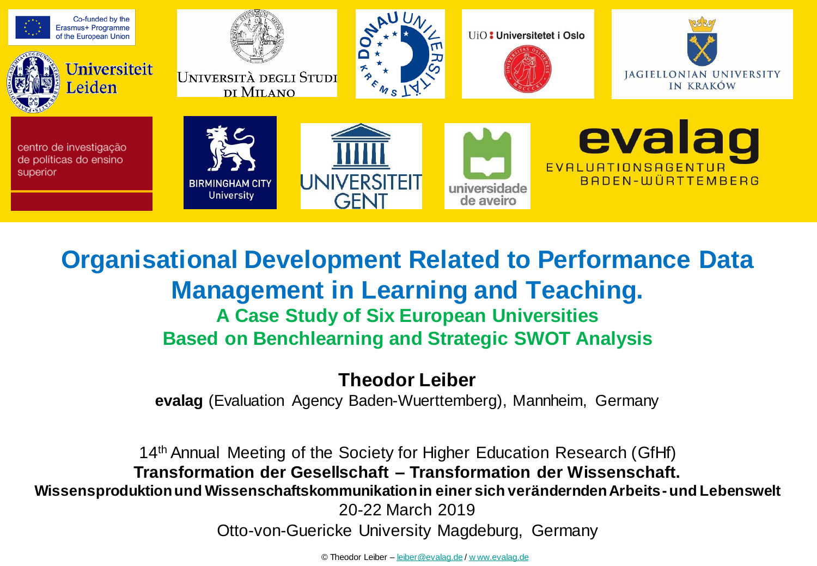

## **Organisational Development Related to Performance Data Management in Learning and Teaching. A Case Study of Six European Universities Based on Benchlearning and Strategic SWOT Analysis**

**Theodor Leiber**

**evalag** (Evaluation Agency Baden-Wuerttemberg), Mannheim, Germany

14th Annual Meeting of the Society for Higher Education Research (GfHf) **Transformation der Gesellschaft – Transformation der Wissenschaft. Wissensproduktion und Wissenschaftskommunikation in einer sich verändernden Arbeits-und Lebenswelt** 20-22 March 2019 Otto-von-Guericke University Magdeburg, Germany

© Theodor Leiber – [leiber@evalag.de](mailto:leiber@evalag.de) / [w ww.evalag.de](http://www.evalag.de/)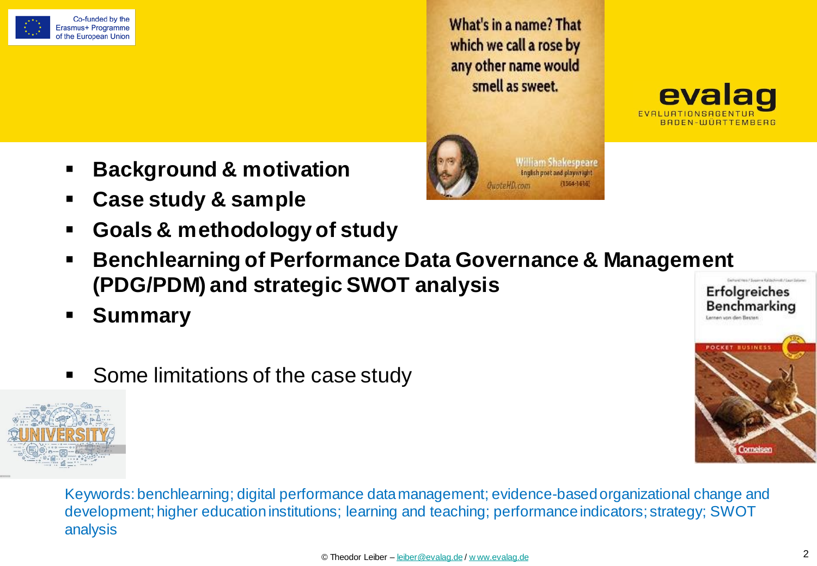

Co-funded by the Erasmus+ Programme of the European Union

What's in a name? That which we call a rose by any other name would smell as sweet.

> **William Shakespeare** English poet and playwright

> > (1564-1616)

evalag BADEN-WÜRTTEMBERG

Benchmarking

**Tornets** 

Lernen von den Besten

- **Background & motivation**
- **Case study & sample**
- **Goals & methodology of study**
- **Benchlearning of Performance Data Governance & Management (PDG/PDM) and strategic SWOT analysis Erfolgreiches**
- **Summary**
- Some limitations of the case study



Keywords: benchlearning; digital performance data management; evidence-basedorganizational change and development; higher education institutions; learning and teaching; performance indicators; strategy; SWOT analysis

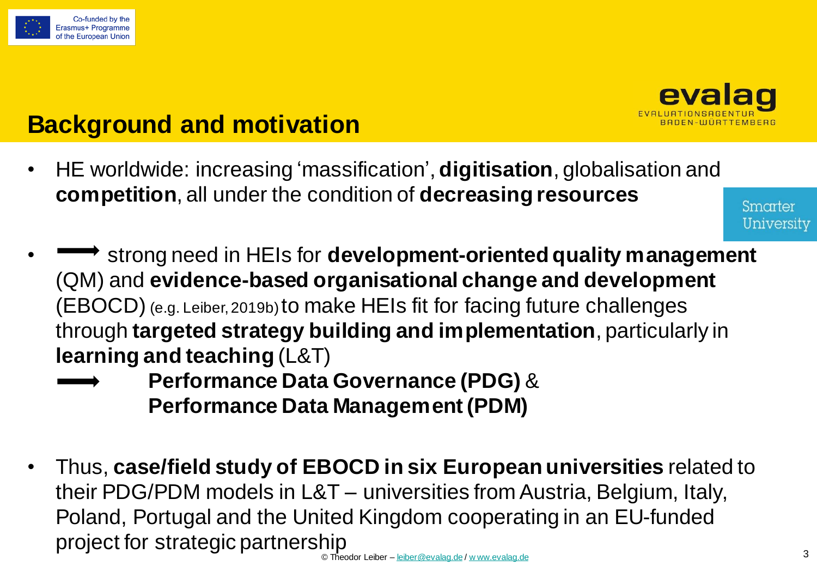



# **Background and motivation**

• HE worldwide: increasing 'massification', **digitisation**, globalisation and **competition**, all under the condition of **decreasing resources**

Smarter University

- strong need in HEIs for **development-oriented quality management** (QM) and **evidence-based organisational change and development** (EBOCD) (e.g. Leiber, 2019b) to make HEIs fit for facing future challenges through **targeted strategy building and implementation**, particularly in **learning and teaching** (L&T)
	- **Performance Data Governance (PDG)** & **Performance Data Management (PDM)**
- Thus, **case/field study of EBOCD in six European universities** related to their PDG/PDM models in L&T – universities from Austria, Belgium, Italy, Poland, Portugal and the United Kingdom cooperating in an EU-funded project for strategic partnership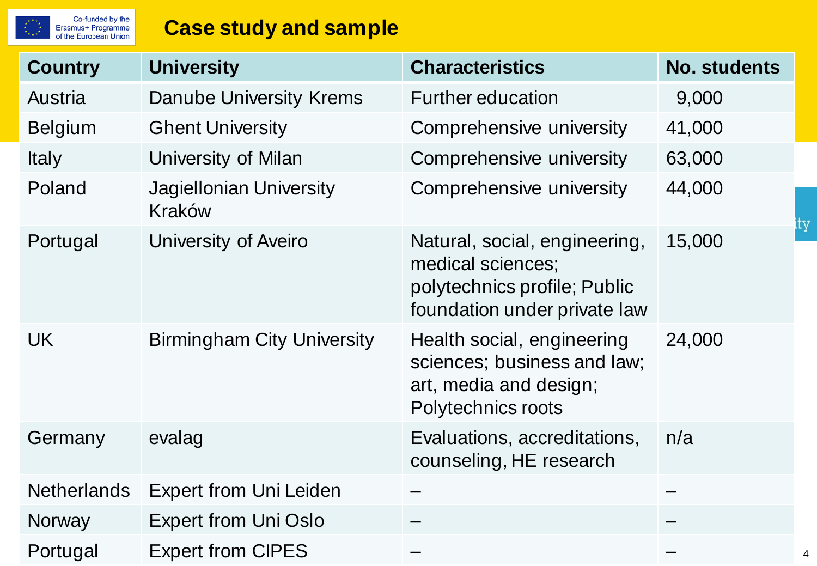# Co-funded by the<br>Erasmus+ Programme<br>of the European Union

## **Case study and sample**

| <b>Country</b>     | <b>University</b>                 | <b>Characteristics</b>                                                                                             | <b>No. students</b> |
|--------------------|-----------------------------------|--------------------------------------------------------------------------------------------------------------------|---------------------|
| <b>Austria</b>     | <b>Danube University Krems</b>    | <b>Further education</b>                                                                                           | 9,000               |
| <b>Belgium</b>     | <b>Ghent University</b>           | Comprehensive university                                                                                           | 41,000              |
| <b>Italy</b>       | University of Milan               | Comprehensive university                                                                                           | 63,000              |
| Poland             | Jagiellonian University<br>Kraków | Comprehensive university                                                                                           | 44,000              |
| Portugal           | University of Aveiro              | Natural, social, engineering,<br>medical sciences;<br>polytechnics profile; Public<br>foundation under private law | 15,000              |
| <b>UK</b>          | <b>Birmingham City University</b> | Health social, engineering<br>sciences; business and law;<br>art, media and design;<br>Polytechnics roots          | 24,000              |
| Germany            | evalag                            | Evaluations, accreditations,<br>counseling, HE research                                                            | n/a                 |
| <b>Netherlands</b> | <b>Expert from Uni Leiden</b>     |                                                                                                                    |                     |
| <b>Norway</b>      | <b>Expert from Uni Oslo</b>       |                                                                                                                    |                     |
| Portugal           | <b>Expert from CIPES</b>          |                                                                                                                    |                     |

 $ty^{\dagger}$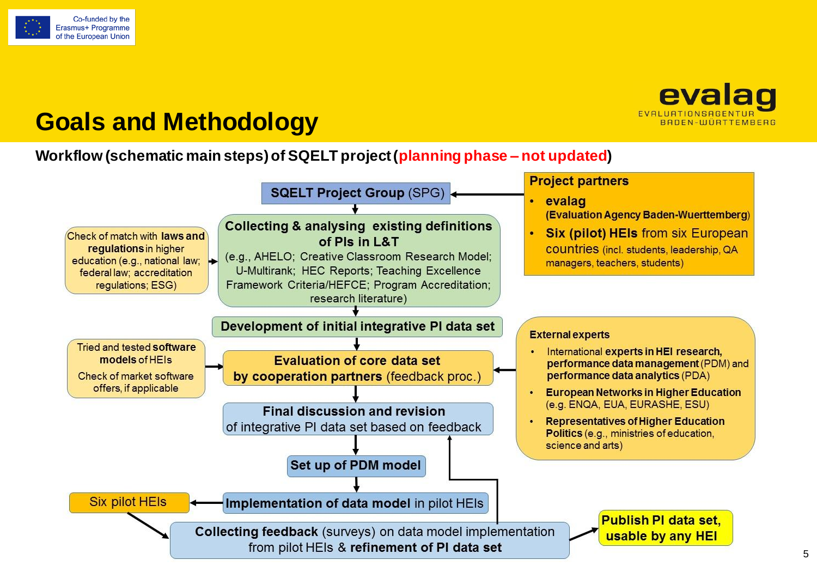



## **Goals and Methodology**

#### **Workflow (schematic main steps) of SQELT project (planning phase – not updated)**

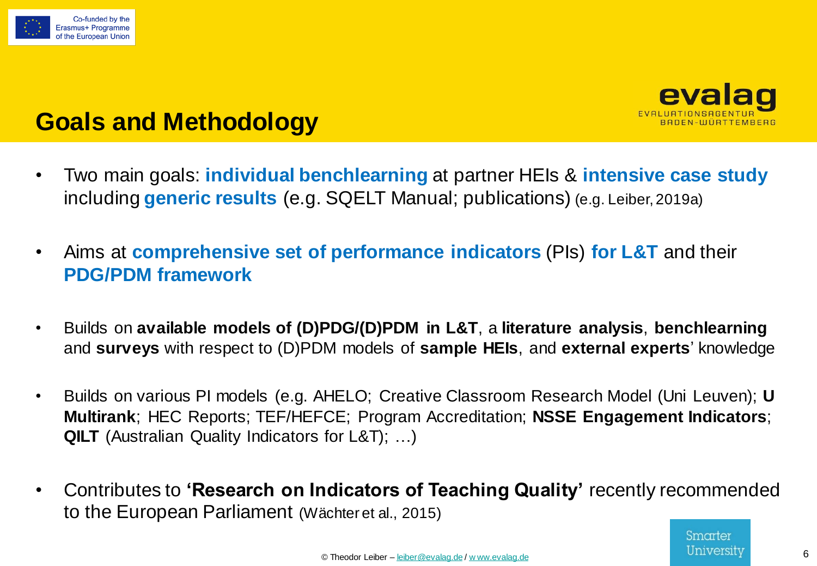![](_page_5_Picture_0.jpeg)

![](_page_5_Picture_1.jpeg)

## **Goals and Methodology**

- Two main goals: **individual benchlearning** at partner HEIs & **intensive case study**  including **generic results** (e.g. SQELT Manual; publications) (e.g. Leiber, 2019a)
- Aims at **comprehensive set of performance indicators** (PIs) **for L&T** and their **PDG/PDM framework**
- Builds on **available models of (D)PDG/(D)PDM in L&T**, a **literature analysis**, **benchlearning** and **surveys** with respect to (D)PDM models of **sample HEIs**, and **external experts**' knowledge
- Builds on various PI models (e.g. AHELO; Creative Classroom Research Model (Uni Leuven); **U Multirank**; HEC Reports; TEF/HEFCE; Program Accreditation; **NSSE Engagement Indicators**; **QILT** (Australian Quality Indicators for L&T); …)
- Contributes to **'Research on Indicators of Teaching Quality'** recently recommended to the European Parliament (Wächter et al., 2015)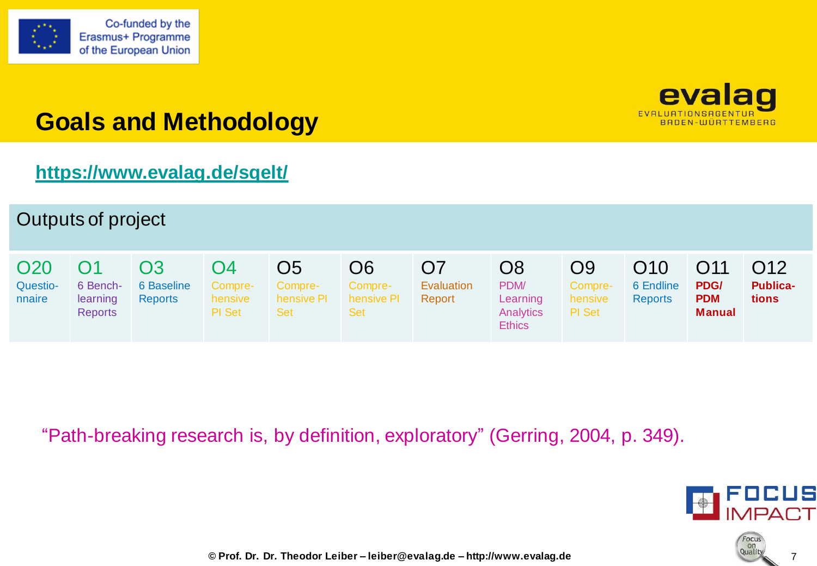![](_page_6_Picture_0.jpeg)

![](_page_6_Picture_2.jpeg)

# **Goals and Methodology**

## **<https://www.evalag.de/sqelt/>**

![](_page_6_Figure_5.jpeg)

"Path-breaking research is, by definition, exploratory" (Gerring, 2004, p. 349).

![](_page_6_Picture_7.jpeg)

![](_page_6_Picture_8.jpeg)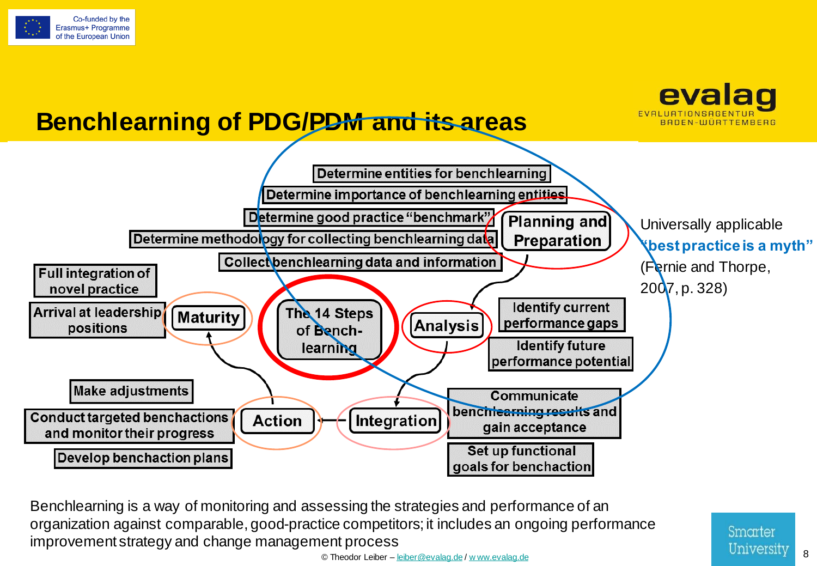![](_page_7_Picture_0.jpeg)

![](_page_7_Figure_1.jpeg)

© Theodor Leiber – [leiber@evalag.de](mailto:leiber@evalag.de) / [w ww.evalag.de](http://www.evalag.de/) 8 Benchlearning is a way of monitoring and assessing the strategies and performance of an organization against comparable, good-practice competitors; it includes an ongoing performance improvement strategy and change management process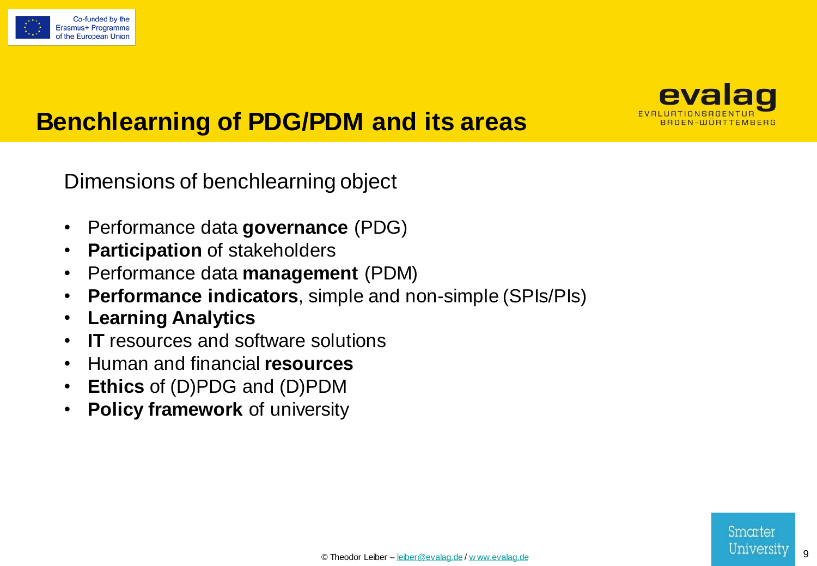![](_page_8_Picture_0.jpeg)

![](_page_8_Picture_1.jpeg)

## **Benchlearning of PDG/PDM and its areas**

Dimensions of benchlearning object

- Performance data **governance** (PDG)
- **Participation** of stakeholders
- Performance data **management** (PDM)
- **Performance indicators**, simple and non-simple (SPIs/PIs)
- **Learning Analytics**
- **IT** resources and software solutions
- Human and financial **resources**
- **Ethics** of (D)PDG and (D)PDM
- **Policy framework** of university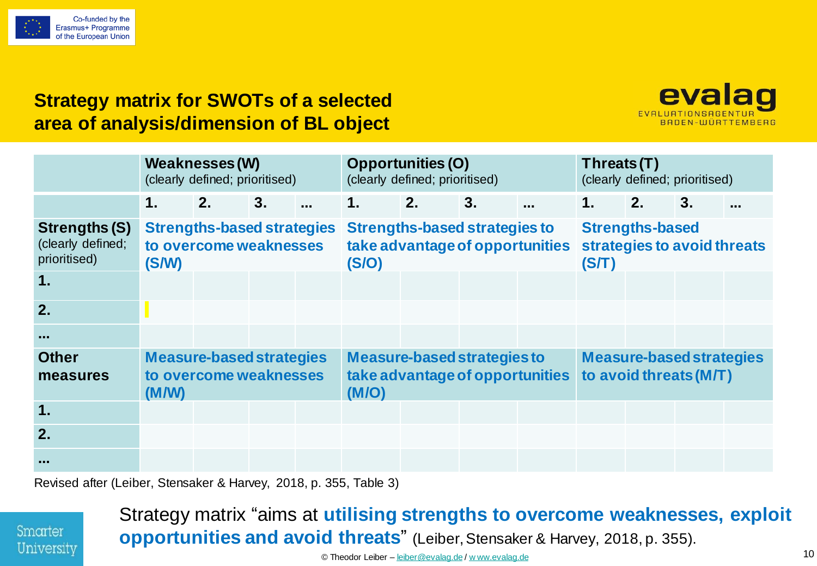![](_page_9_Picture_0.jpeg)

#### **Strategy matrix for SWOTs of a selected area of analysis/dimension of BL object**

![](_page_9_Picture_2.jpeg)

|                                                    |               | Weaknesses (W)<br>(clearly defined; prioritised)            |                |               | <b>Opportunities (O)</b><br>(clearly defined; prioritised)     |    |                                 | Threats(T) | (clearly defined; prioritised)                            |    |          |
|----------------------------------------------------|---------------|-------------------------------------------------------------|----------------|---------------|----------------------------------------------------------------|----|---------------------------------|------------|-----------------------------------------------------------|----|----------|
|                                                    | $\mathbf 1$ . | 2.                                                          | 3 <sub>1</sub> | $\mathbf 1$ . | 2.                                                             | 3. | $\ddotsc$                       | 1.         | 2.                                                        | 3. | $\cdots$ |
| Strengths (S)<br>(clearly defined;<br>prioritised) | (S/W)         | <b>Strengths-based strategies</b><br>to overcome weaknesses |                | (S/O)         | <b>Strengths-based strategies to</b>                           |    | take advantage of opportunities | (ST)       | <b>Strengths-based</b><br>strategies to avoid threats     |    |          |
| 1.                                                 |               |                                                             |                |               |                                                                |    |                                 |            |                                                           |    |          |
| 2.                                                 |               |                                                             |                |               |                                                                |    |                                 |            |                                                           |    |          |
| $\sim 100$                                         |               |                                                             |                |               |                                                                |    |                                 |            |                                                           |    |          |
| <b>Other</b><br>measures                           | (M/W)         | <b>Measure-based strategies</b><br>to overcome weaknesses   |                | (M/O)         | Measure-based strategies to<br>take advantage of opportunities |    |                                 |            | <b>Measure-based strategies</b><br>to avoid threats (M/T) |    |          |
| 1.                                                 |               |                                                             |                |               |                                                                |    |                                 |            |                                                           |    |          |
| 2.                                                 |               |                                                             |                |               |                                                                |    |                                 |            |                                                           |    |          |
| <b>ALC</b>                                         |               |                                                             |                |               |                                                                |    |                                 |            |                                                           |    |          |

Revised after (Leiber, Stensaker & Harvey, 2018, p. 355, Table 3)

![](_page_9_Picture_5.jpeg)

#### © Theodor Leiber – [leiber@evalag.de](mailto:leiber@evalag.de) / [w ww.evalag.de](http://www.evalag.de/) 10 Strategy matrix "aims at **utilising strengths to overcome weaknesses, exploit opportunities and avoid threats**" (Leiber, Stensaker & Harvey, 2018, p. 355).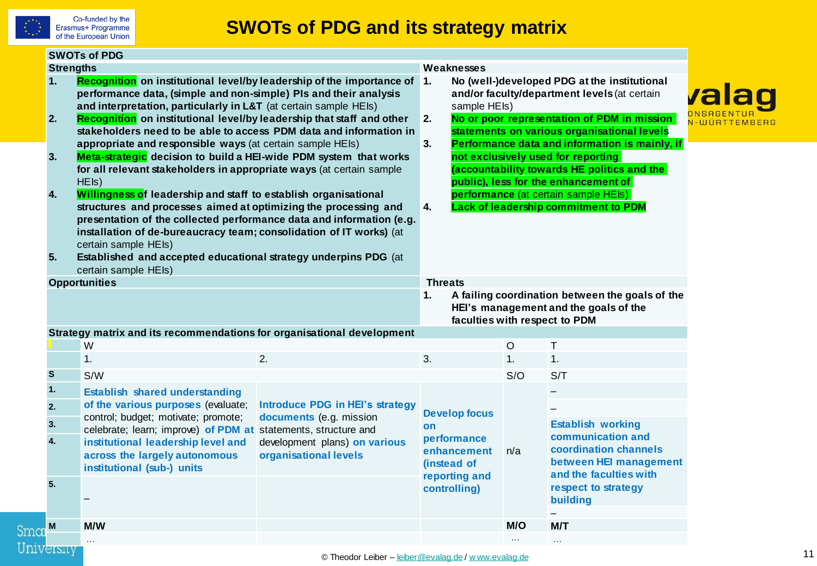![](_page_10_Picture_0.jpeg)

|                                          | <b>SWOTs of PDG</b>                                                                                                                                                                                                                                                                                                                                                                                                                                                                                                                                                                                                                                                                                                                                                                                                                                                  |                                                                                                                                                                                                                                                                                                                                                                                                                                                                                                                                |                                  |     |                                                                                                                           |  |  |
|------------------------------------------|----------------------------------------------------------------------------------------------------------------------------------------------------------------------------------------------------------------------------------------------------------------------------------------------------------------------------------------------------------------------------------------------------------------------------------------------------------------------------------------------------------------------------------------------------------------------------------------------------------------------------------------------------------------------------------------------------------------------------------------------------------------------------------------------------------------------------------------------------------------------|--------------------------------------------------------------------------------------------------------------------------------------------------------------------------------------------------------------------------------------------------------------------------------------------------------------------------------------------------------------------------------------------------------------------------------------------------------------------------------------------------------------------------------|----------------------------------|-----|---------------------------------------------------------------------------------------------------------------------------|--|--|
| <b>Strengths</b><br>1.<br>2.<br>3.<br>4. | Recognition on institutional level/by leadership of the importance of<br>performance data, (simple and non-simple) PIs and their analysis<br>and interpretation, particularly in L&T (at certain sample HEIs)<br>Recognition on institutional level/by leadership that staff and other<br>stakeholders need to be able to access PDM data and information in<br>appropriate and responsible ways (at certain sample HEIs)<br>Meta-strategic decision to build a HEI-wide PDM system that works<br>for all relevant stakeholders in appropriate ways (at certain sample<br>HEIs)<br>Willingness of leadership and staff to establish organisational<br>structures and processes aimed at optimizing the processing and<br>presentation of the collected performance data and information (e.g.<br>installation of de-bureaucracy team; consolidation of IT works) (at | Weaknesses<br>No (well-)developed PDG at the institutional<br><u> 1.</u><br>and/or faculty/department levels (at certain<br>sample HEIs)<br>No or poor representation of PDM in mission<br>2.<br>statements on various organisational levels<br>Performance data and information is mainly, if<br>3.<br>not exclusively used for reporting<br>(accountability towards HE politics and the<br>public), less for the enhancement of<br>performance (at certain sample HEIs)<br><b>Lack of leadership commitment to PDM</b><br>4. | valad                            |     |                                                                                                                           |  |  |
| 5.                                       | certain sample HEIs)<br>Established and accepted educational strategy underpins PDG (at<br>certain sample HEIs)                                                                                                                                                                                                                                                                                                                                                                                                                                                                                                                                                                                                                                                                                                                                                      |                                                                                                                                                                                                                                                                                                                                                                                                                                                                                                                                |                                  |     |                                                                                                                           |  |  |
|                                          | <b>Opportunities</b>                                                                                                                                                                                                                                                                                                                                                                                                                                                                                                                                                                                                                                                                                                                                                                                                                                                 |                                                                                                                                                                                                                                                                                                                                                                                                                                                                                                                                | <b>Threats</b><br>1.             |     | A failing coordination between the goals of the<br>HEI's management and the goals of the<br>faculties with respect to PDM |  |  |
|                                          | Strategy matrix and its recommendations for organisational development                                                                                                                                                                                                                                                                                                                                                                                                                                                                                                                                                                                                                                                                                                                                                                                               |                                                                                                                                                                                                                                                                                                                                                                                                                                                                                                                                |                                  |     |                                                                                                                           |  |  |
|                                          | W                                                                                                                                                                                                                                                                                                                                                                                                                                                                                                                                                                                                                                                                                                                                                                                                                                                                    |                                                                                                                                                                                                                                                                                                                                                                                                                                                                                                                                |                                  | O   | Τ                                                                                                                         |  |  |
|                                          | 1.                                                                                                                                                                                                                                                                                                                                                                                                                                                                                                                                                                                                                                                                                                                                                                                                                                                                   | 2.                                                                                                                                                                                                                                                                                                                                                                                                                                                                                                                             | 3.                               | 1.  | 1.                                                                                                                        |  |  |
| S                                        | S/W                                                                                                                                                                                                                                                                                                                                                                                                                                                                                                                                                                                                                                                                                                                                                                                                                                                                  |                                                                                                                                                                                                                                                                                                                                                                                                                                                                                                                                |                                  | S/O | S/T                                                                                                                       |  |  |
| 1.                                       | <b>Establish shared understanding</b>                                                                                                                                                                                                                                                                                                                                                                                                                                                                                                                                                                                                                                                                                                                                                                                                                                |                                                                                                                                                                                                                                                                                                                                                                                                                                                                                                                                |                                  |     |                                                                                                                           |  |  |
| 2.                                       | of the various purposes (evaluate;                                                                                                                                                                                                                                                                                                                                                                                                                                                                                                                                                                                                                                                                                                                                                                                                                                   | <b>Introduce PDG in HEI's strategy</b>                                                                                                                                                                                                                                                                                                                                                                                                                                                                                         | <b>Develop focus</b>             |     |                                                                                                                           |  |  |
| 3.<br>4.                                 | control; budget; motivate; promote;<br>celebrate; learn; improve) of PDM at statements, structure and<br>institutional leadership level and<br>across the largely autonomous<br>institutional (sub-) units                                                                                                                                                                                                                                                                                                                                                                                                                                                                                                                                                                                                                                                           | documents (e.g. mission<br>development plans) on various<br>organisational levels                                                                                                                                                                                                                                                                                                                                                                                                                                              | on<br>performance<br>enhancement | n/a | <b>Establish working</b><br>communication and<br>coordination channels<br>between HEI management                          |  |  |
|                                          |                                                                                                                                                                                                                                                                                                                                                                                                                                                                                                                                                                                                                                                                                                                                                                                                                                                                      |                                                                                                                                                                                                                                                                                                                                                                                                                                                                                                                                | (instead of                      |     |                                                                                                                           |  |  |
| 5.                                       |                                                                                                                                                                                                                                                                                                                                                                                                                                                                                                                                                                                                                                                                                                                                                                                                                                                                      |                                                                                                                                                                                                                                                                                                                                                                                                                                                                                                                                | reporting and<br>controlling)    |     | and the faculties with<br>respect to strategy<br>building                                                                 |  |  |
| Smar                                     | M/W                                                                                                                                                                                                                                                                                                                                                                                                                                                                                                                                                                                                                                                                                                                                                                                                                                                                  |                                                                                                                                                                                                                                                                                                                                                                                                                                                                                                                                |                                  | M/O | M/T                                                                                                                       |  |  |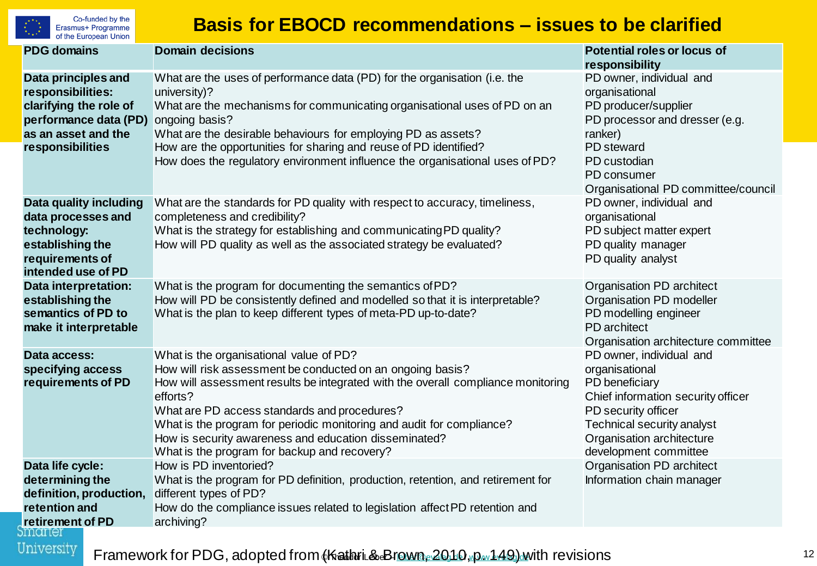![](_page_11_Picture_0.jpeg)

Co-funded by the Erasmus+ Programme of the European Union

#### **Basis for EBOCD recommendations – issues to be clarified**

| <b>PDG</b> domains                                                                                                                     | <b>Domain decisions</b>                                                                                                                                                                                                                                                                                                                                                                                                                 | <b>Potential roles or locus of</b><br>responsibility                                                                                                                                                          |
|----------------------------------------------------------------------------------------------------------------------------------------|-----------------------------------------------------------------------------------------------------------------------------------------------------------------------------------------------------------------------------------------------------------------------------------------------------------------------------------------------------------------------------------------------------------------------------------------|---------------------------------------------------------------------------------------------------------------------------------------------------------------------------------------------------------------|
| Data principles and<br>responsibilities:<br>clarifying the role of<br>performance data (PD)<br>as an asset and the<br>responsibilities | What are the uses of performance data (PD) for the organisation (i.e. the<br>university)?<br>What are the mechanisms for communicating organisational uses of PD on an<br>ongoing basis?<br>What are the desirable behaviours for employing PD as assets?<br>How are the opportunities for sharing and reuse of PD identified?<br>How does the regulatory environment influence the organisational uses of PD?                          | PD owner, individual and<br>organisational<br>PD producer/supplier<br>PD processor and dresser (e.g.<br>ranker)<br>PD steward<br>PD custodian<br>PD consumer<br>Organisational PD committee/council           |
| Data quality including<br>data processes and<br>technology:<br>establishing the<br>requirements of<br>intended use of PD               | What are the standards for PD quality with respect to accuracy, timeliness,<br>completeness and credibility?<br>What is the strategy for establishing and communicating PD quality?<br>How will PD quality as well as the associated strategy be evaluated?                                                                                                                                                                             | PD owner, individual and<br>organisational<br>PD subject matter expert<br>PD quality manager<br>PD quality analyst                                                                                            |
| Data interpretation:<br>establishing the<br>semantics of PD to<br>make it interpretable                                                | What is the program for documenting the semantics of PD?<br>How will PD be consistently defined and modelled so that it is interpretable?<br>What is the plan to keep different types of meta-PD up-to-date?                                                                                                                                                                                                                            | Organisation PD architect<br>Organisation PD modeller<br>PD modelling engineer<br>PD architect<br>Organisation architecture committee                                                                         |
| Data access:<br>specifying access<br>requirements of PD                                                                                | What is the organisational value of PD?<br>How will risk assessment be conducted on an ongoing basis?<br>How will assessment results be integrated with the overall compliance monitoring<br>efforts?<br>What are PD access standards and procedures?<br>What is the program for periodic monitoring and audit for compliance?<br>How is security awareness and education disseminated?<br>What is the program for backup and recovery? | PD owner, individual and<br>organisational<br>PD beneficiary<br>Chief information security officer<br>PD security officer<br>Technical security analyst<br>Organisation architecture<br>development committee |
| Data life cycle:<br>determining the<br>definition, production,<br>retention and<br>retirement of PD<br>narrer                          | How is PD inventoried?<br>What is the program for PD definition, production, retention, and retirement for<br>different types of PD?<br>How do the compliance issues related to legislation affect PD retention and<br>archiving?                                                                                                                                                                                                       | Organisation PD architect<br>Information chain manager                                                                                                                                                        |

Framework for PDG, adopted from (Kathri & B[rown, 2010](mailto:leiber@evalag.de)[, p. 149\) w](http://www.evalag.de/)ith revisions **Framework** for PDG, adopted from (Kathri & Brown, 2010)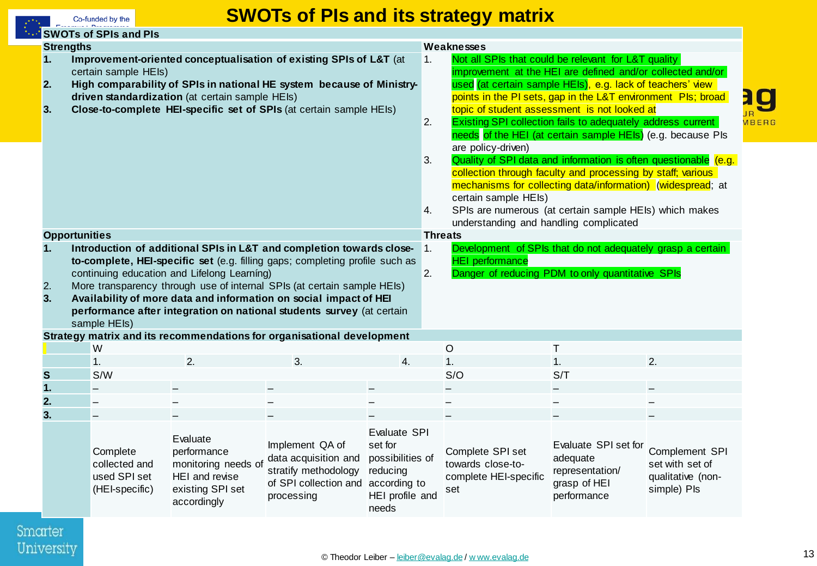![](_page_12_Picture_0.jpeg)

#### **SWOTs of PIs and its strategy matrix**

|                                                                                                                                                                                                                                                                                                                                                                                                                                                                                                                                                                                                                                                                                                          | <b>SWOTs of SPIs and PIs</b>                                |                                                                                                     |                                                                                                                     |                                                                                     |                                                                                                                                                                                                                                                                                                                                                                                                                                                                                                                                                                                                                                                                                                                                                                                                                               |                                                                       |                                                                                    |                                                                       |  |
|----------------------------------------------------------------------------------------------------------------------------------------------------------------------------------------------------------------------------------------------------------------------------------------------------------------------------------------------------------------------------------------------------------------------------------------------------------------------------------------------------------------------------------------------------------------------------------------------------------------------------------------------------------------------------------------------------------|-------------------------------------------------------------|-----------------------------------------------------------------------------------------------------|---------------------------------------------------------------------------------------------------------------------|-------------------------------------------------------------------------------------|-------------------------------------------------------------------------------------------------------------------------------------------------------------------------------------------------------------------------------------------------------------------------------------------------------------------------------------------------------------------------------------------------------------------------------------------------------------------------------------------------------------------------------------------------------------------------------------------------------------------------------------------------------------------------------------------------------------------------------------------------------------------------------------------------------------------------------|-----------------------------------------------------------------------|------------------------------------------------------------------------------------|-----------------------------------------------------------------------|--|
|                                                                                                                                                                                                                                                                                                                                                                                                                                                                                                                                                                                                                                                                                                          |                                                             |                                                                                                     |                                                                                                                     |                                                                                     |                                                                                                                                                                                                                                                                                                                                                                                                                                                                                                                                                                                                                                                                                                                                                                                                                               |                                                                       |                                                                                    |                                                                       |  |
| <b>Strengths</b><br>Improvement-oriented conceptualisation of existing SPIs of L&T (at<br>1.<br>certain sample HEIs)<br>High comparability of SPIs in national HE system because of Ministry-<br>2.<br>driven standardization (at certain sample HEIs)<br>Close-to-complete HEI-specific set of SPIs (at certain sample HEIs)<br>3.                                                                                                                                                                                                                                                                                                                                                                      |                                                             |                                                                                                     |                                                                                                                     |                                                                                     | Weaknesses<br>1.<br>Not all SPIs that could be relevant for L&T quality<br>improvement at the HEI are defined and/or collected and/or<br>used (at certain sample HEIs), e.g. lack of teachers' view<br>points in the PI sets, gap in the L&T environment PIs; broad<br>topic of student assessment is not looked at<br>2.<br><b>Existing SPI collection fails to adequately address current</b><br>needs of the HEI (at certain sample HEIs) (e.g. because PIs<br>are policy-driven)<br>Quality of SPI data and information is often questionable (e.g.<br>3.<br>collection through faculty and processing by staff; various<br>mechanisms for collecting data/information) (widespread; at<br>certain sample HEIs)<br>SPIs are numerous (at certain sample HEIs) which makes<br>4.<br>understanding and handling complicated |                                                                       |                                                                                    | $\overline{\mathbf{g}}$<br>WBERG                                      |  |
|                                                                                                                                                                                                                                                                                                                                                                                                                                                                                                                                                                                                                                                                                                          | <b>Opportunities</b>                                        |                                                                                                     |                                                                                                                     |                                                                                     | <b>Threats</b>                                                                                                                                                                                                                                                                                                                                                                                                                                                                                                                                                                                                                                                                                                                                                                                                                |                                                                       |                                                                                    |                                                                       |  |
| Development of SPIs that do not adequately grasp a certain<br>Introduction of additional SPIs in L&T and completion towards close-<br>$\vert$ 1.<br>1.<br>to-complete, HEI-specific set (e.g. filling gaps; completing profile such as<br><b>HEI</b> performance<br>2.<br>Danger of reducing PDM to only quantitative SPIs<br>continuing education and Lifelong Learning)<br>More transparency through use of internal SPIs (at certain sample HEIs)<br>2.<br>Availability of more data and information on social impact of HEI<br>3.<br>performance after integration on national students survey (at certain<br>sample HEIs)<br>Strategy matrix and its recommendations for organisational development |                                                             |                                                                                                     |                                                                                                                     |                                                                                     |                                                                                                                                                                                                                                                                                                                                                                                                                                                                                                                                                                                                                                                                                                                                                                                                                               |                                                                       |                                                                                    |                                                                       |  |
|                                                                                                                                                                                                                                                                                                                                                                                                                                                                                                                                                                                                                                                                                                          | W                                                           |                                                                                                     |                                                                                                                     |                                                                                     |                                                                                                                                                                                                                                                                                                                                                                                                                                                                                                                                                                                                                                                                                                                                                                                                                               | $\circ$                                                               | T                                                                                  |                                                                       |  |
|                                                                                                                                                                                                                                                                                                                                                                                                                                                                                                                                                                                                                                                                                                          | 1.                                                          | 2.                                                                                                  | 3.                                                                                                                  | 4.                                                                                  |                                                                                                                                                                                                                                                                                                                                                                                                                                                                                                                                                                                                                                                                                                                                                                                                                               | 1.                                                                    | 1.                                                                                 | 2.                                                                    |  |
| S                                                                                                                                                                                                                                                                                                                                                                                                                                                                                                                                                                                                                                                                                                        | S/W                                                         |                                                                                                     |                                                                                                                     |                                                                                     |                                                                                                                                                                                                                                                                                                                                                                                                                                                                                                                                                                                                                                                                                                                                                                                                                               | S/O                                                                   | S/T                                                                                |                                                                       |  |
| 1.                                                                                                                                                                                                                                                                                                                                                                                                                                                                                                                                                                                                                                                                                                       |                                                             |                                                                                                     |                                                                                                                     |                                                                                     |                                                                                                                                                                                                                                                                                                                                                                                                                                                                                                                                                                                                                                                                                                                                                                                                                               |                                                                       |                                                                                    |                                                                       |  |
| 2.                                                                                                                                                                                                                                                                                                                                                                                                                                                                                                                                                                                                                                                                                                       |                                                             |                                                                                                     |                                                                                                                     |                                                                                     |                                                                                                                                                                                                                                                                                                                                                                                                                                                                                                                                                                                                                                                                                                                                                                                                                               |                                                                       |                                                                                    |                                                                       |  |
| 3.                                                                                                                                                                                                                                                                                                                                                                                                                                                                                                                                                                                                                                                                                                       |                                                             |                                                                                                     |                                                                                                                     |                                                                                     |                                                                                                                                                                                                                                                                                                                                                                                                                                                                                                                                                                                                                                                                                                                                                                                                                               |                                                                       |                                                                                    |                                                                       |  |
|                                                                                                                                                                                                                                                                                                                                                                                                                                                                                                                                                                                                                                                                                                          | Complete<br>collected and<br>used SPI set<br>(HEI-specific) | Evaluate<br>performance<br>monitoring needs of<br>HEI and revise<br>existing SPI set<br>accordingly | Implement QA of<br>data acquisition and<br>stratify methodology<br>of SPI collection and according to<br>processing | Evaluate SPI<br>set for<br>possibilities of<br>reducing<br>HEI profile and<br>needs |                                                                                                                                                                                                                                                                                                                                                                                                                                                                                                                                                                                                                                                                                                                                                                                                                               | Complete SPI set<br>towards close-to-<br>complete HEI-specific<br>set | Evaluate SPI set for<br>adequate<br>representation/<br>grasp of HEI<br>performance | Complement SPI<br>set with set of<br>qualitative (non-<br>simple) Pls |  |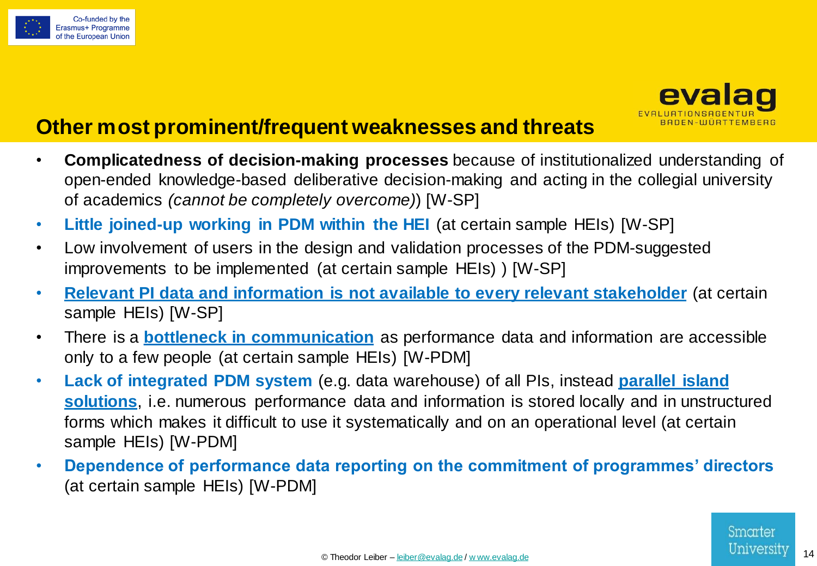![](_page_13_Picture_0.jpeg)

![](_page_13_Picture_1.jpeg)

## **Other most prominent/frequent weaknesses and threats**

- **Complicatedness of decision-making processes** because of institutionalized understanding of open-ended knowledge-based deliberative decision-making and acting in the collegial university of academics *(cannot be completely overcome)*) [W-SP]
- **Little joined-up working in PDM within the HEI** (at certain sample HEIs) [W-SP]
- Low involvement of users in the design and validation processes of the PDM-suggested improvements to be implemented (at certain sample HEIs) ) [W-SP]
- **Relevant PI data and information is not available to every relevant stakeholder** (at certain sample HEIs) [W-SP]
- There is a **bottleneck in communication** as performance data and information are accessible only to a few people (at certain sample HEIs) [W-PDM]
- **Lack of integrated PDM system** (e.g. data warehouse) of all PIs, instead **parallel island solutions**, i.e. numerous performance data and information is stored locally and in unstructured forms which makes it difficult to use it systematically and on an operational level (at certain sample HEIs) [W-PDM]
- **Dependence of performance data reporting on the commitment of programmes' directors** (at certain sample HEIs) [W-PDM]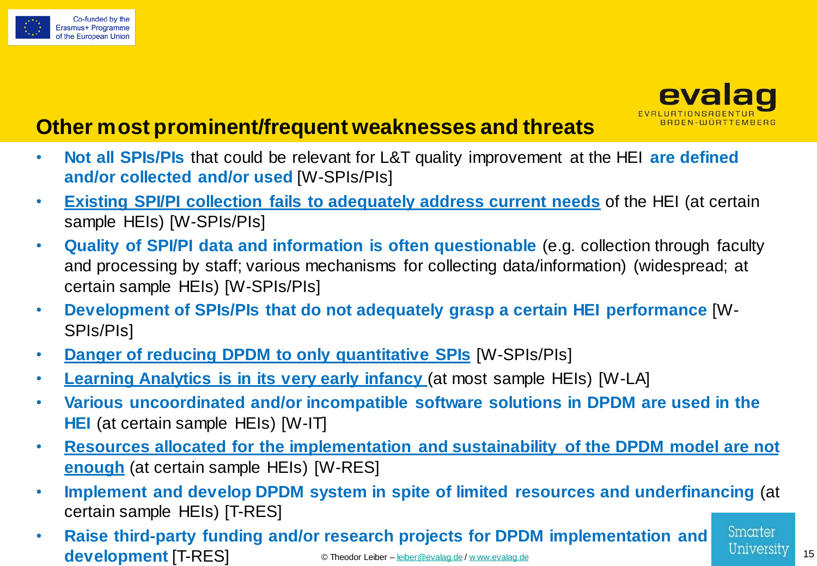![](_page_14_Picture_0.jpeg)

![](_page_14_Picture_1.jpeg)

## **Other most prominent/frequent weaknesses and threats**

- **Not all SPIs/PIs** that could be relevant for L&T quality improvement at the HEI **are defined and/or collected and/or used** [W-SPIs/PIs]
- **Existing SPI/PI collection fails to adequately address current needs** of the HEI (at certain sample HEIs) [W-SPIs/PIs]
- **Quality of SPI/PI data and information is often questionable** (e.g. collection through faculty and processing by staff; various mechanisms for collecting data/information) (widespread; at certain sample HEIs) [W-SPIs/PIs]
- **Development of SPIs/PIs that do not adequately grasp a certain HEI performance** [W-SPIs/PIs]
- **Danger of reducing DPDM to only quantitative SPIs** [W-SPIs/PIs]
- **Learning Analytics is in its very early infancy** (at most sample HEIs) [W-LA]
- **Various uncoordinated and/or incompatible software solutions in DPDM are used in the HEI** (at certain sample HEIs) [W-IT]
- **Resources allocated for the implementation and sustainability of the DPDM model are not enough** (at certain sample HEIs) [W-RES]
- **Implement and develop DPDM system in spite of limited resources and underfinancing** (at certain sample HEIs) [T-RES]
- Smarter • **Raise third-party funding and/or research projects for DPDM implementation and**  © Theodor Leiber – [leiber@evalag.de](mailto:leiber@evalag.de) / [w ww.evalag.de](http://www.evalag.de/) 15 **development** [T-RES]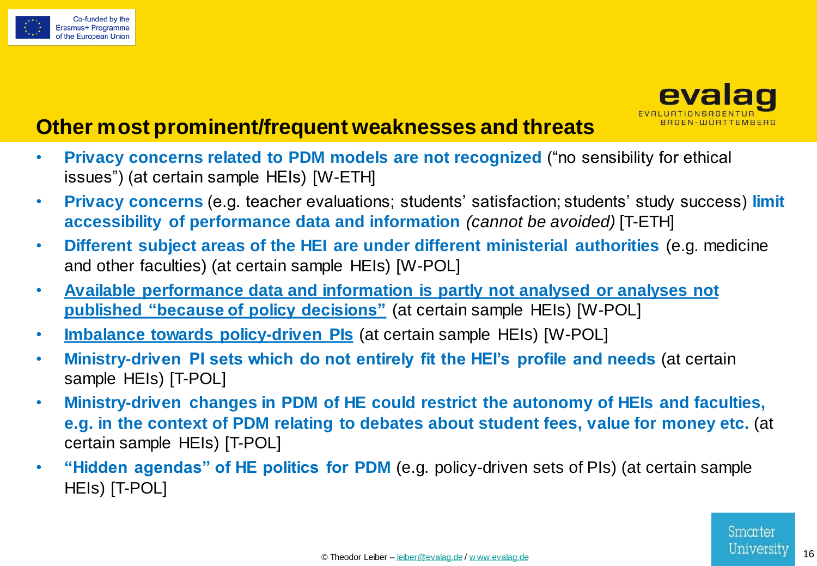![](_page_15_Picture_0.jpeg)

![](_page_15_Picture_1.jpeg)

## **Other most prominent/frequent weaknesses and threats**

- **Privacy concerns related to PDM models are not recognized** ("no sensibility for ethical issues") (at certain sample HEIs) [W-ETH]
- **Privacy concerns** (e.g. teacher evaluations; students' satisfaction; students' study success) **limit accessibility of performance data and information** *(cannot be avoided)* [T-ETH]
- **Different subject areas of the HEI are under different ministerial authorities** (e.g. medicine and other faculties) (at certain sample HEIs) [W-POL]
- **Available performance data and information is partly not analysed or analyses not published "because of policy decisions"** (at certain sample HEIs) [W-POL]
- **Imbalance towards policy-driven PIs** (at certain sample HEIs) [W-POL]
- **Ministry-driven PI sets which do not entirely fit the HEI's profile and needs** (at certain sample HEIs) [T-POL]
- **Ministry-driven changes in PDM of HE could restrict the autonomy of HEIs and faculties, e.g. in the context of PDM relating to debates about student fees, value for money etc.** (at certain sample HEIs) [T-POL]
- **"Hidden agendas" of HE politics for PDM** (e.g. policy-driven sets of PIs) (at certain sample HEIs) [T-POL]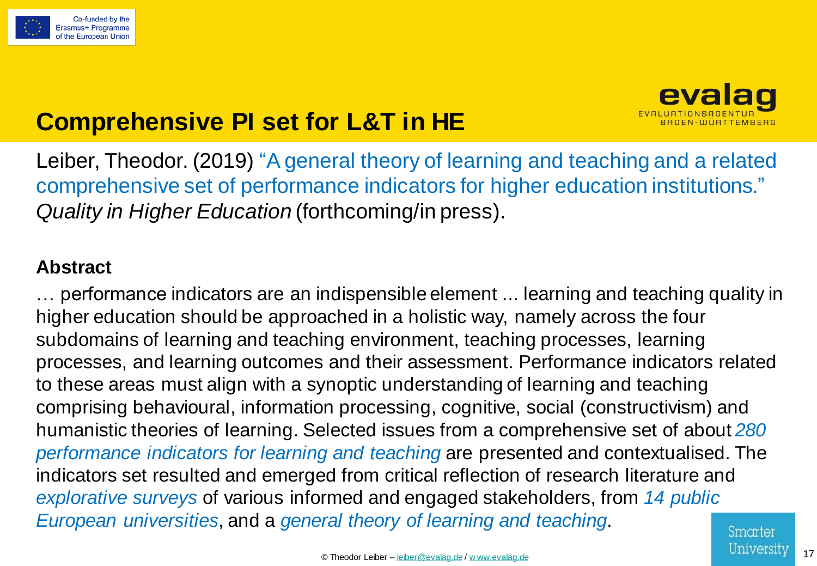![](_page_16_Picture_0.jpeg)

![](_page_16_Picture_1.jpeg)

# **Comprehensive PI set for L&T in HE**

Leiber, Theodor. (2019) "A general theory of learning and teaching and a related comprehensive set of performance indicators for higher education institutions." *Quality in Higher Education* (forthcoming/in press).

#### **Abstract**

… performance indicators are an indispensible element ... learning and teaching quality in higher education should be approached in a holistic way, namely across the four subdomains of learning and teaching environment, teaching processes, learning processes, and learning outcomes and their assessment. Performance indicators related to these areas must align with a synoptic understanding of learning and teaching comprising behavioural, information processing, cognitive, social (constructivism) and humanistic theories of learning. Selected issues from a comprehensive set of about *280 performance indicators for learning and teaching* are presented and contextualised. The indicators set resulted and emerged from critical reflection of research literature and *explorative surveys* of various informed and engaged stakeholders, from *14 public European universities*, and a *general theory of learning and teaching*.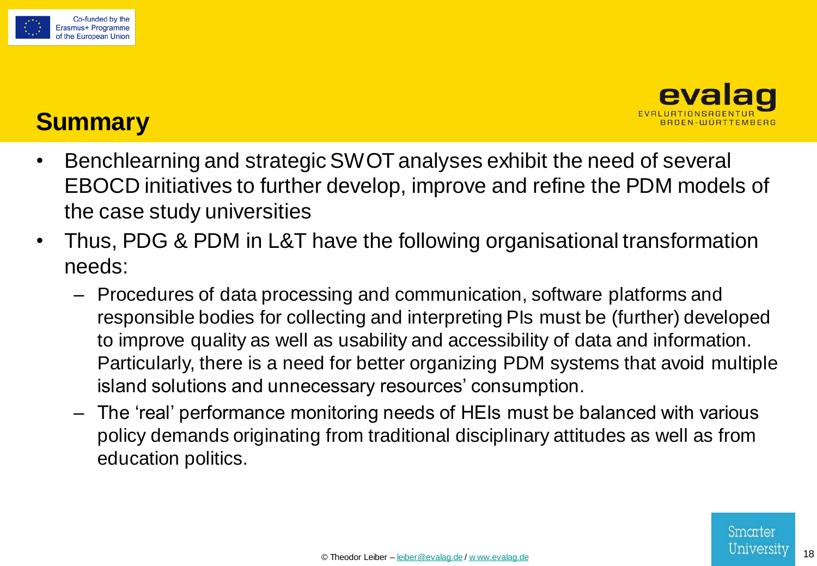![](_page_17_Picture_0.jpeg)

![](_page_17_Picture_1.jpeg)

## **Summary**

- Benchlearning and strategic SWOT analyses exhibit the need of several EBOCD initiatives to further develop, improve and refine the PDM models of the case study universities
- Thus, PDG & PDM in L&T have the following organisational transformation needs:
	- Procedures of data processing and communication, software platforms and responsible bodies for collecting and interpreting PIs must be (further) developed to improve quality as well as usability and accessibility of data and information. Particularly, there is a need for better organizing PDM systems that avoid multiple island solutions and unnecessary resources' consumption.
	- The 'real' performance monitoring needs of HEIs must be balanced with various policy demands originating from traditional disciplinary attitudes as well as from education politics.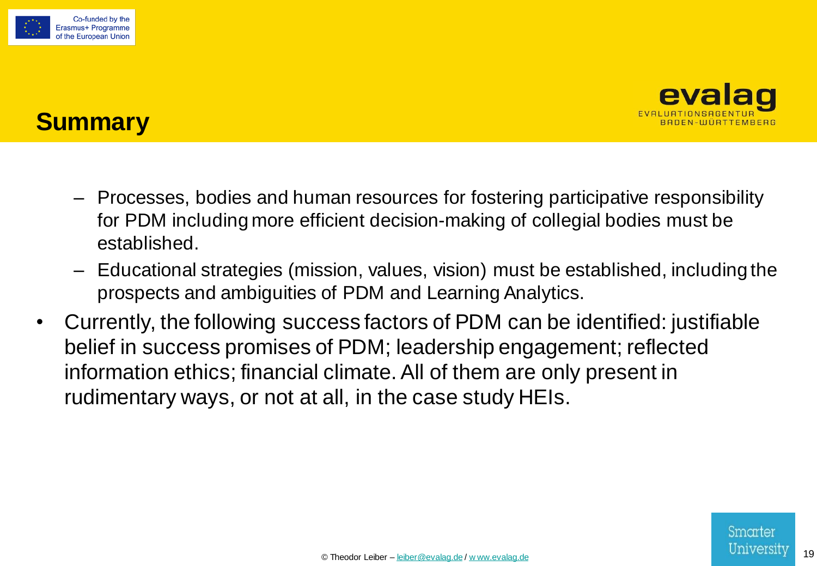![](_page_18_Picture_0.jpeg)

![](_page_18_Picture_1.jpeg)

## **Summary**

- Processes, bodies and human resources for fostering participative responsibility for PDM including more efficient decision-making of collegial bodies must be established.
- Educational strategies (mission, values, vision) must be established, including the prospects and ambiguities of PDM and Learning Analytics.
- Currently, the following success factors of PDM can be identified: justifiable belief in success promises of PDM; leadership engagement; reflected information ethics; financial climate. All of them are only present in rudimentary ways, or not at all, in the case study HEIs.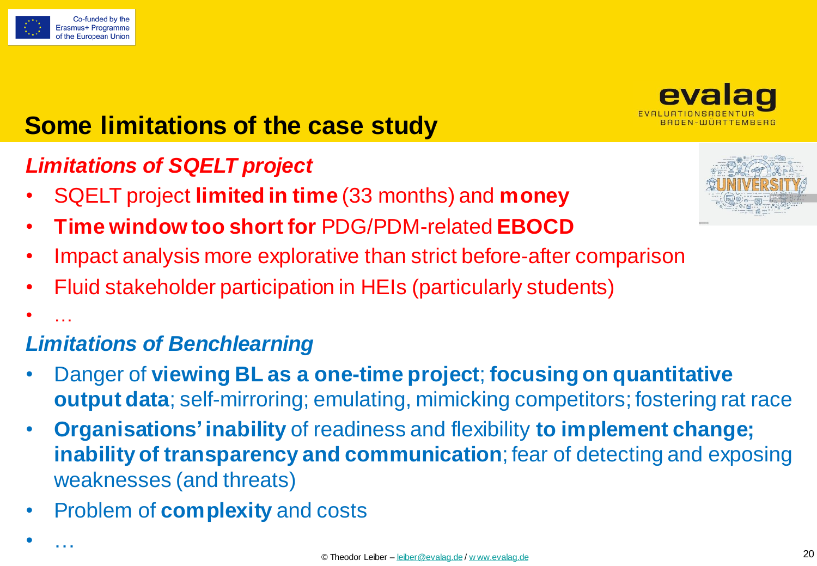![](_page_19_Picture_0.jpeg)

 $\bullet$   $\mathbb{R}$  .

• …

![](_page_19_Picture_1.jpeg)

# **Some limitations of the case study**

## *Limitations of SQELT project*

- SQELT project **limited in time** (33 months) and **money**
- **Time window too short for** PDG/PDM-related **EBOCD**
- Impact analysis more explorative than strict before-after comparison
- Fluid stakeholder participation in HEIs (particularly students)

## *Limitations of Benchlearning*

- Danger of **viewing BL as a one-time project**; **focusing on quantitative output data**; self-mirroring; emulating, mimicking competitors; fostering rat race
- **Organisations'inability** of readiness and flexibility **to implement change; inability of transparency and communication**; fear of detecting and exposing weaknesses (and threats)
- Problem of **complexity** and costs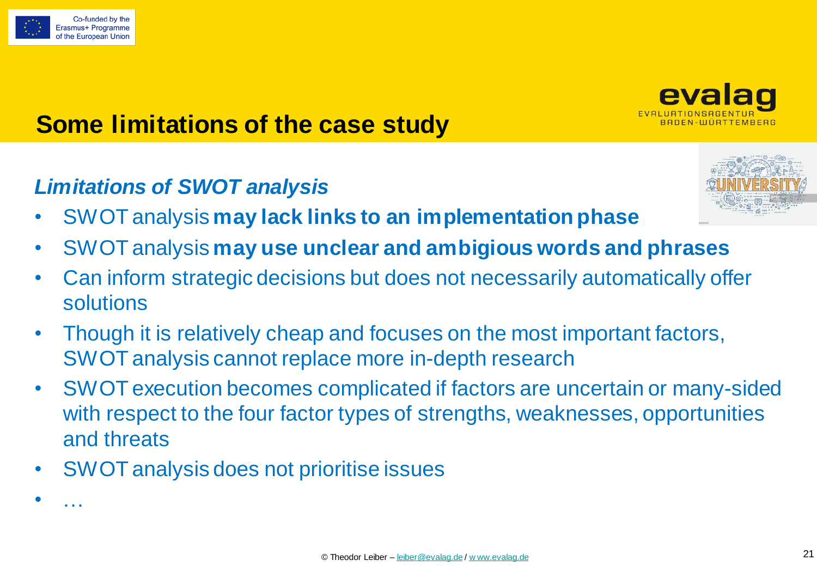![](_page_20_Picture_0.jpeg)

• …

![](_page_20_Picture_1.jpeg)

# **Some limitations of the case study**

## *Limitations of SWOT analysis*

![](_page_20_Picture_4.jpeg)

- SWOT analysis **may lack links to an implementation phase**
- SWOT analysis **may use unclear and ambigious words and phrases**
- Can inform strategic decisions but does not necessarily automatically offer solutions
- Though it is relatively cheap and focuses on the most important factors, SWOT analysis cannot replace more in-depth research
- SWOT execution becomes complicated if factors are uncertain or many-sided with respect to the four factor types of strengths, weaknesses, opportunities and threats
- SWOT analysis does not prioritise issues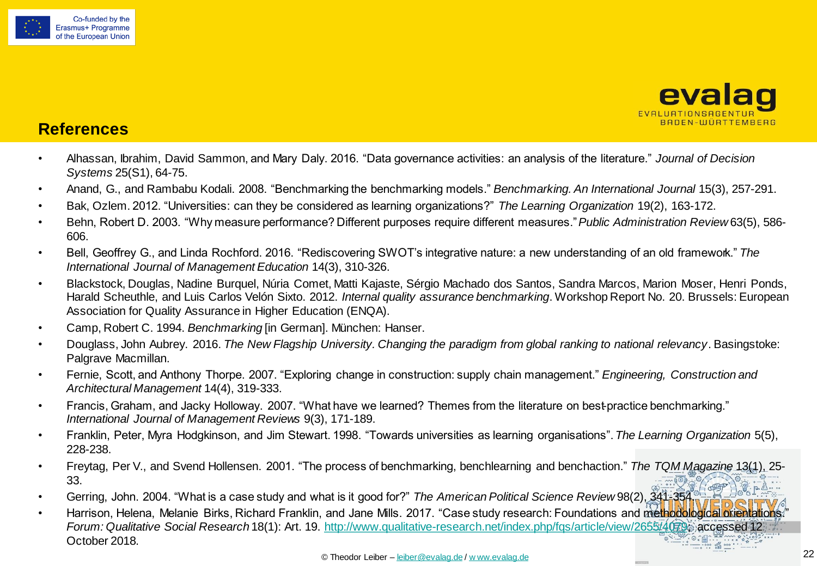![](_page_21_Picture_0.jpeg)

![](_page_21_Picture_1.jpeg)

#### **References**

- Alhassan, Ibrahim, David Sammon, and Mary Daly. 2016. "Data governance activities: an analysis of the literature." *Journal of Decision Systems* 25(S1), 64-75.
- Anand, G., and Rambabu Kodali. 2008. "Benchmarking the benchmarking models." *Benchmarking. An International Journal* 15(3), 257-291.
- Bak, Ozlem. 2012. "Universities: can they be considered as learning organizations?" *The Learning Organization* 19(2), 163-172.
- Behn, Robert D. 2003. "Why measure performance? Different purposes require different measures." *Public Administration Review* 63(5), 586- 606.
- Bell, Geoffrey G., and Linda Rochford. 2016. "Rediscovering SWOT's integrative nature: a new understanding of an old framework." *The International Journal of Management Education* 14(3), 310-326.
- Blackstock, Douglas, Nadine Burquel, Núria Comet, Matti Kajaste, Sérgio Machado dos Santos, Sandra Marcos, Marion Moser, Henri Ponds, Harald Scheuthle, and Luis Carlos Velón Sixto. 2012. *Internal quality assurance benchmarking*. Workshop Report No. 20. Brussels: European Association for Quality Assurance in Higher Education (ENQA).
- Camp, Robert C. 1994. *Benchmarking* [in German]. München: Hanser.
- Douglass, John Aubrey. 2016. *The New Flagship University. Changing the paradigm from global ranking to national relevancy*. Basingstoke: Palgrave Macmillan.
- Fernie, Scott, and Anthony Thorpe. 2007. "Exploring change in construction: supply chain management." *Engineering, Construction and Architectural Management* 14(4), 319-333.
- Francis, Graham, and Jacky Holloway. 2007. "What have we learned? Themes from the literature on best-practice benchmarking." *International Journal of Management Reviews* 9(3), 171-189.
- Franklin, Peter, Myra Hodgkinson, and Jim Stewart. 1998. "Towards universities as learning organisations". *The Learning Organization* 5(5), 228-238.
- Freytag, Per V., and Svend Hollensen. 2001. "The process of benchmarking, benchlearning and benchaction." *The TQM Magazine* 13(1), 25- 33.
- Gerring, John. 2004. "What is a case study and what is it good for?" The American Political Science Review 98(2), 341-354.
- Harrison, Helena, Melanie Birks, Richard Franklin, and Jane Mills. 2017. "Case study research: Foundations and methodological orientations. *Forum: Qualitative Social Research* 18(1): Art. 19. [http://www.qualitative-research.net/index.php/fqs/article/view/2655/4079;](http://www.qualitative-research.net/index.php/fqs/article/view/2655/4079) accessed 12 October 2018.